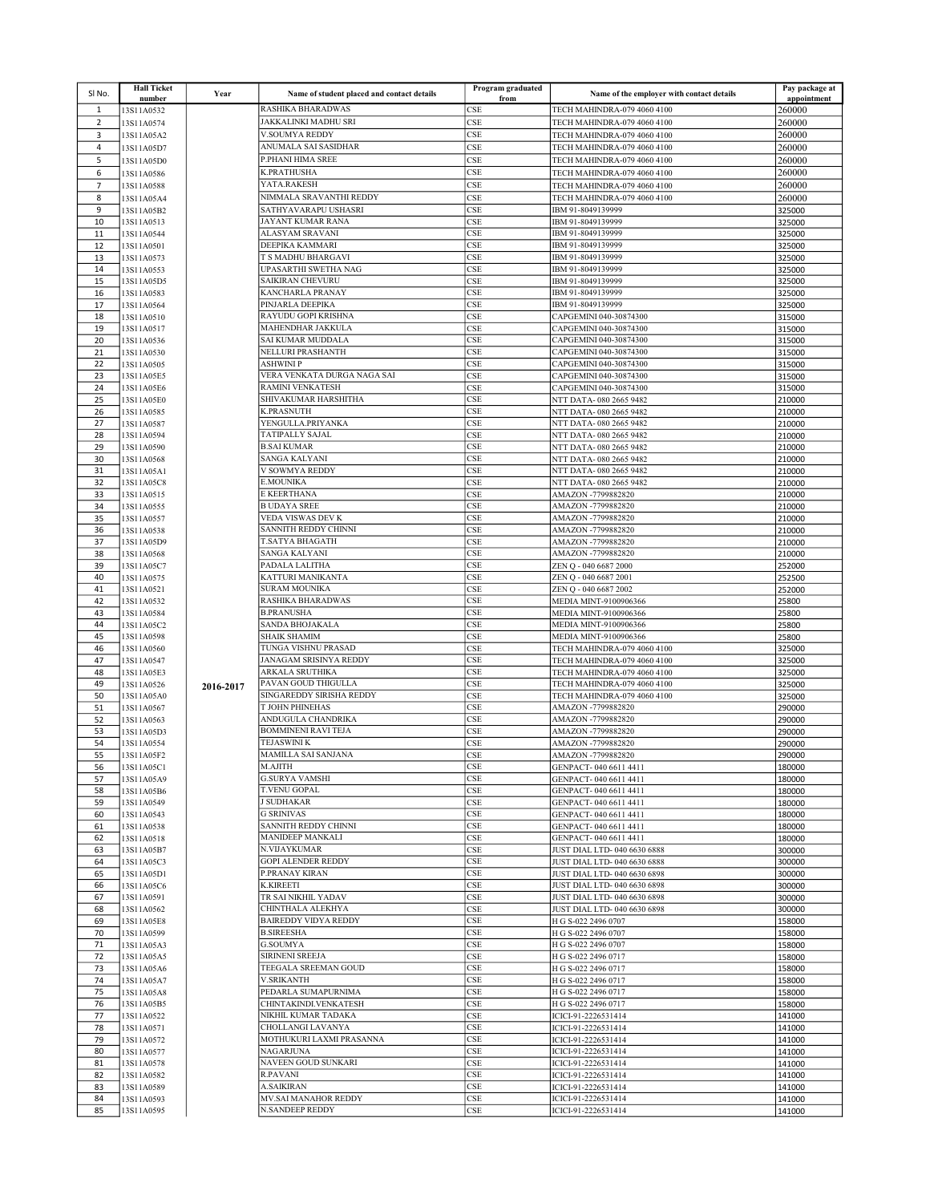| SINO.          | <b>Hall Ticket</b><br>number | Year      | Name of student placed and contact details   | Program graduated<br>from   | Name of the employer with contact details                         | Pay package at<br>appointment |
|----------------|------------------------------|-----------|----------------------------------------------|-----------------------------|-------------------------------------------------------------------|-------------------------------|
| $\mathbf{1}$   | 13S11A0532                   |           | <b>RASHIKA BHARADWAS</b>                     | CSE                         | TECH MAHINDRA-079 4060 4100                                       | 260000                        |
| $\overline{2}$ | 13S11A0574                   |           | JAKKALINKI MADHU SRI                         | CSE                         | TECH MAHINDRA-079 4060 4100                                       | 260000                        |
| 3              | 13S11A05A2                   |           | V.SOUMYA REDDY                               | CSE                         | TECH MAHINDRA-079 4060 4100                                       | 260000                        |
| 4              | 13S11A05D7                   |           | ANUMALA SAI SASIDHAR                         | CSE                         | TECH MAHINDRA-079 4060 4100                                       | 260000                        |
| 5              | 13S11A05D0                   |           | P.PHANI HIMA SREE                            | CSE                         | TECH MAHINDRA-079 4060 4100                                       | 260000                        |
| 6              | 13S11A0586                   |           | <b>K.PRATHUSHA</b>                           | CSE                         | TECH MAHINDRA-079 4060 4100                                       | 260000                        |
| $\overline{7}$ | 13S11A0588                   |           | YATA.RAKESH                                  | <b>CSE</b>                  | TECH MAHINDRA-079 4060 4100                                       | 260000                        |
| 8              | 13S11A05A4                   |           | NIMMALA SRAVANTHI REDDY                      | CSE                         | TECH MAHINDRA-079 4060 4100                                       | 260000                        |
| 9<br>10        | 13S11A05B2                   |           | SATHYAVARAPU USHASRI<br>JAYANT KUMAR RANA    | CSE<br>CSE                  | IBM 91-8049139999<br>IBM 91-8049139999                            | 325000                        |
| 11             | 13S11A0513<br>13S11A0544     |           | <b>ALASYAM SRAVANI</b>                       | CSE                         | IBM 91-8049139999                                                 | 325000<br>325000              |
| 12             | 13S11A0501                   |           | DEEPIKA KAMMARI                              | CSE                         | IBM 91-8049139999                                                 | 325000                        |
| 13             | 13S11A0573                   |           | T S MADHU BHARGAVI                           | <b>CSE</b>                  | IBM 91-8049139999                                                 | 325000                        |
| 14             | 13S11A0553                   |           | UPASARTHI SWETHA NAG                         | CSE                         | IBM 91-8049139999                                                 | 325000                        |
| 15             | 13S11A05D5                   |           | <b>SAIKIRAN CHEVURU</b>                      | <b>CSE</b>                  | IBM 91-8049139999                                                 | 325000                        |
| 16             | 13S11A0583                   |           | KANCHARLA PRANAY                             | CSE                         | IBM 91-8049139999                                                 | 325000                        |
| 17             | 13S11A0564                   |           | PINJARLA DEEPIKA<br>RAYUDU GOPI KRISHNA      | <b>CSE</b><br>CSE           | IBM 91-8049139999<br>CAPGEMINI 040-30874300                       | 325000                        |
| 18<br>19       | 13S11A0510<br>13S11A0517     |           | MAHENDHAR JAKKULA                            | CSE                         | CAPGEMINI 040-30874300                                            | 315000<br>315000              |
| 20             | 13S11A0536                   |           | <b>SAI KUMAR MUDDALA</b>                     | <b>CSE</b>                  | CAPGEMINI 040-30874300                                            | 315000                        |
| 21             | 13S11A0530                   |           | NELLURI PRASHANTH                            | CSE                         | CAPGEMINI 040-30874300                                            | 315000                        |
| 22             | 13S11A0505                   |           | <b>ASHWINI P</b>                             | CSE                         | CAPGEMINI 040-30874300                                            | 315000                        |
| 23             | 13S11A05E5                   |           | VERA VENKATA DURGA NAGA SAI                  | <b>CSE</b>                  | CAPGEMINI 040-30874300                                            | 315000                        |
| 24             | 13S11A05E6                   |           | <b>RAMINI VENKATESH</b>                      | CSE                         | CAPGEMINI 040-30874300                                            | 315000                        |
| 25             | 13S11A05E0                   |           | SHIVAKUMAR HARSHITHA<br><b>K.PRASNUTH</b>    | <b>CSE</b><br>CSE           | NTT DATA-080 2665 9482                                            | 210000                        |
| 26<br>27       | 13S11A0585<br>13S11A0587     |           | YENGULLA.PRIYANKA                            | <b>CSE</b>                  | NTT DATA-080 2665 9482<br>NTT DATA-080 2665 9482                  | 210000<br>210000              |
| 28             | 13S11A0594                   |           | <b>TATIPALLY SAJAL</b>                       | CSE                         | NTT DATA-080 2665 9482                                            | 210000                        |
| 29             | 13S11A0590                   |           | <b>B.SAI KUMAR</b>                           | CSE                         | NTT DATA-080 2665 9482                                            | 210000                        |
| 30             | 13S11A0568                   |           | <b>SANGA KALYANI</b>                         | <b>CSE</b>                  | NTT DATA-080 2665 9482                                            | 210000                        |
| 31             | 13S11A05A1                   |           | V SOWMYA REDDY                               | CSE                         | NTT DATA-080 2665 9482                                            | 210000                        |
| 32             | 13S11A05C8                   |           | <b>E.MOUNIKA</b>                             | CSE                         | NTT DATA-080 2665 9482                                            | 210000                        |
| 33             | 13S11A0515                   |           | E KEERTHANA<br><b>B UDAYA SREE</b>           | <b>CSE</b>                  | AMAZON -7799882820                                                | 210000                        |
| 34<br>35       | 13S11A0555<br>13S11A0557     |           | VEDA VISWAS DEV K                            | CSE<br><b>CSE</b>           | AMAZON -7799882820<br>AMAZON -7799882820                          | 210000<br>210000              |
| 36             | 13S11A0538                   |           | SANNITH REDDY CHINNI                         | CSE                         | AMAZON -7799882820                                                | 210000                        |
| 37             | 13S11A05D9                   |           | <b>T.SATYA BHAGATH</b>                       | <b>CSE</b>                  | AMAZON -7799882820                                                | 210000                        |
| 38             | 13S11A0568                   |           | SANGA KALYANI                                | CSE                         | AMAZON -7799882820                                                | 210000                        |
| 39             | 13S11A05C7                   |           | PADALA LALITHA                               | CSE                         | ZEN Q - 040 6687 2000                                             | 252000                        |
| 40             | 13S11A0575                   |           | KATTURI MANIKANTA                            | CSE                         | ZEN Q - 040 6687 2001                                             | 252500                        |
| 41<br>42       | 13S11A0521                   |           | <b>SURAM MOUNIKA</b><br>RASHIKA BHARADWAS    | CSE<br>CSE                  | ZEN Q - 040 6687 2002                                             | 252000                        |
| 43             | 13S11A0532<br>13S11A0584     |           | <b>B.PRANUSHA</b>                            | <b>CSE</b>                  | MEDIA MINT-9100906366<br>MEDIA MINT-9100906366                    | 25800<br>25800                |
| 44             | 13S11A05C2                   |           | SANDA BHOJAKALA                              | CSE                         | MEDIA MINT-9100906366                                             | 25800                         |
| 45             | 13S11A0598                   |           | <b>SHAIK SHAMIM</b>                          | <b>CSE</b>                  | MEDIA MINT-9100906366                                             | 25800                         |
| 46             | 13S11A0560                   |           | TUNGA VISHNU PRASAD                          | CSE                         | TECH MAHINDRA-079 4060 4100                                       | 325000                        |
| 47             | 13S11A0547                   |           | JANAGAM SRISINYA REDDY                       | <b>CSE</b>                  | TECH MAHINDRA-079 4060 4100                                       | 325000                        |
| 48             | 13S11A05E3                   |           | ARKALA SRUTHIKA<br>PAVAN GOUD THIGULLA       | CSE                         | TECH MAHINDRA-079 4060 4100                                       | 325000                        |
| 49<br>50       | 13S11A0526<br>13S11A05A0     | 2016-2017 | SINGAREDDY SIRISHA REDDY                     | CSE<br><b>CSE</b>           | TECH MAHINDRA-079 4060 4100<br><b>TECH MAHINDRA-079 4060 4100</b> | 325000<br>325000              |
| 51             | 13S11A0567                   |           | <b>T JOHN PHINEHAS</b>                       | CSE                         | AMAZON -7799882820                                                | 290000                        |
| 52             | 13S11A0563                   |           | ANDUGULA CHANDRIKA                           | CSE                         | AMAZON -7799882820                                                | 290000                        |
| 53             | 13S11A05D3                   |           | <b>BOMMINENI RAVI TEJA</b>                   | <b>CSE</b>                  | AMAZON -7799882820                                                | 290000                        |
| 54             | 13S11A0554                   |           | <b>TEJASWINI K</b>                           | CSE                         | AMAZON -7799882820                                                | 290000                        |
| 55             | 13S11A05F2                   |           | MAMILLA SAI SANJANA                          | CSE                         | AMAZON -7799882820                                                | 290000                        |
| 56             | 13S11A05C1                   |           | M.AJITH<br><b>G.SURYA VAMSHI</b>             | CSE<br>CSE                  | GENPACT- 040 6611 4411                                            | 180000                        |
| 57<br>58       | 13S11A05A9<br>13S11A05B6     |           | T.VENU GOPAL                                 | CSE                         | GENPACT-040 6611 4411<br>GENPACT-040 6611 4411                    | 180000<br>180000              |
| 59             | 13S11A0549                   |           | <b>J SUDHAKAR</b>                            | CSE                         | GENPACT-040 6611 4411                                             | 180000                        |
| 60             | 13S11A0543                   |           | <b>G SRINIVAS</b>                            | CSE                         | GENPACT-040 6611 4411                                             | 180000                        |
| 61             | 13S11A0538                   |           | SANNITH REDDY CHINNI                         | CSE                         | GENPACT-040 6611 4411                                             | 180000                        |
| 62             | 13S11A0518                   |           | <b>MANIDEEP MANKALI</b>                      | CSE                         | GENPACT-040 6611 4411                                             | 180000                        |
| 63             | 13S11A05B7                   |           | N.VIJAYKUMAR<br><b>GOPI ALENDER REDDY</b>    | CSE                         | JUST DIAL LTD- 040 6630 6888<br>JUST DIAL LTD- 040 6630 6888      | 300000                        |
| 64<br>65       | 13S11A05C3<br>13S11A05D1     |           | P.PRANAY KIRAN                               | CSE<br>CSE                  | JUST DIAL LTD- 040 6630 6898                                      | 300000<br>300000              |
| 66             | 13S11A05C6                   |           | <b>K.KIREETI</b>                             | CSE                         | JUST DIAL LTD- 040 6630 6898                                      | 300000                        |
| 67             | 13S11A0591                   |           | TR SAI NIKHIL YADAV                          | CSE                         | JUST DIAL LTD- 040 6630 6898                                      | 300000                        |
| 68             | 13S11A0562                   |           | CHINTHALA ALEKHYA                            | $\ensuremath{\mathsf{CSE}}$ | JUST DIAL LTD- 040 6630 6898                                      | 300000                        |
| 69             | 13S11A05E8                   |           | <b>BAIREDDY VIDYA REDDY</b>                  | CSE                         | H G S-022 2496 0707                                               | 158000                        |
| 70             | 13S11A0599                   |           | <b>B.SIREESHA</b><br><b>G.SOUMYA</b>         | CSE                         | H G S-022 2496 0707                                               | 158000                        |
| 71<br>72       | 13S11A05A3<br>13S11A05A5     |           | SIRINENI SREEJA                              | CSE<br>CSE                  | H G S-022 2496 0707<br>H G S-022 2496 0717                        | 158000<br>158000              |
| 73             | 13S11A05A6                   |           | TEEGALA SREEMAN GOUD                         | CSE                         | H G S-022 2496 0717                                               | 158000                        |
| 74             | 13S11A05A7                   |           | <b>V.SRIKANTH</b>                            | CSE                         | H G S-022 2496 0717                                               | 158000                        |
| 75             | 13S11A05A8                   |           | PEDARLA SUMAPURNIMA                          | CSE                         | H G S-022 2496 0717                                               | 158000                        |
| 76             | 13S11A05B5                   |           | CHINTAKINDI.VENKATESH                        | CSE                         | H G S-022 2496 0717                                               | 158000                        |
| 77             | 13S11A0522                   |           | NIKHIL KUMAR TADAKA                          | CSE                         | ICICI-91-2226531414                                               | 141000                        |
| 78             | 13S11A0571                   |           | CHOLLANGI LAVANYA                            | CSE                         | ICICI-91-2226531414                                               | 141000                        |
| 79<br>80       | 13S11A0572<br>13S11A0577     |           | MOTHUKURI LAXMI PRASANNA<br><b>NAGARJUNA</b> | CSE<br>CSE                  | ICICI-91-2226531414<br>ICICI-91-2226531414                        | 141000<br>141000              |
| 81             | 13S11A0578                   |           | NAVEEN GOUD SUNKARI                          | CSE                         | ICICI-91-2226531414                                               | 141000                        |
| 82             | 13S11A0582                   |           | R.PAVANI                                     | CSE                         | ICICI-91-2226531414                                               | 141000                        |
| 83             | 13S11A0589                   |           | <b>A.SAIKIRAN</b>                            | CSE                         | ICICI-91-2226531414                                               | 141000                        |
| 84             | 13S11A0593                   |           | MV.SAI MANAHOR REDDY                         | CSE                         | ICICI-91-2226531414                                               | 141000                        |
| 85             | 13S11A0595                   |           | N.SANDEEP REDDY                              | CSE                         | ICICI-91-2226531414                                               | 141000                        |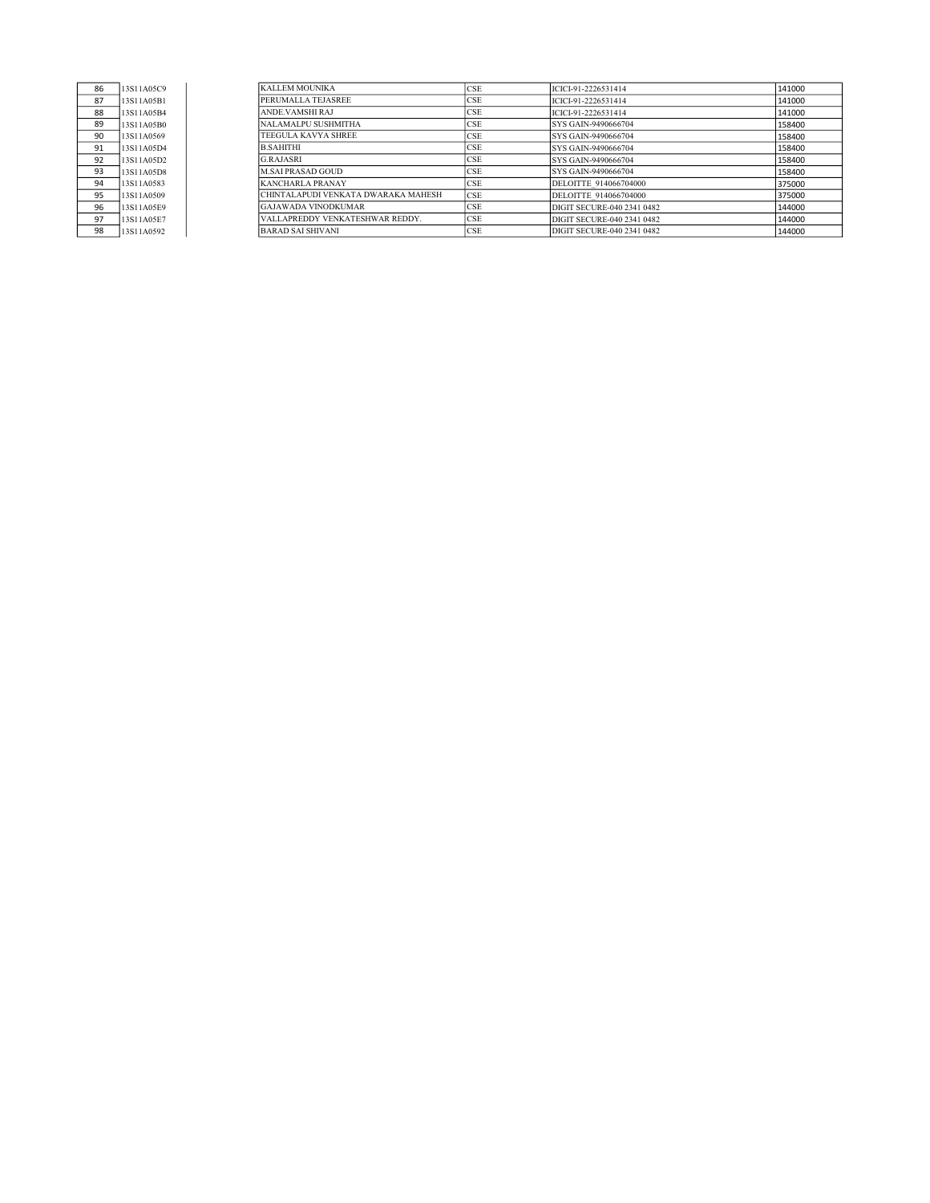| 86 | 13S11A05C9 |
|----|------------|
| 87 | 13S11A05B1 |
| 88 | 13S11A05B4 |
| 89 | 13S11A05B0 |
| 90 | 13S11A0569 |
| 91 | 13S11A05D4 |
| 92 | 13S11A05D2 |
| 93 | 13S11A05D8 |
| 94 | 13S11A0583 |
| 95 | 13S11A0509 |
| 96 | 13S11A05E9 |
| 97 | 13S11A05E7 |
| 98 | 13S11A0592 |

| 86 | 13S11A05C9 | KALLEM MOUNIKA                      | <b>CSE</b> | ICICI-91-2226531414        | 141000 |
|----|------------|-------------------------------------|------------|----------------------------|--------|
| 87 | 13S11A05B1 | PERUMALLA TEJASREE                  | <b>CSE</b> | ICICI-91-2226531414        | 141000 |
| 88 | 13S11A05B4 | ANDE.VAMSHIRAJ                      | <b>CSE</b> | ICICI-91-2226531414        | 141000 |
| 89 | 13S11A05B0 | NALAMALPU SUSHMITHA                 | <b>CSE</b> | SYS GAIN-9490666704        | 158400 |
| 90 | 13S11A0569 | TEEGULA KAVYA SHREE                 | <b>CSE</b> | SYS GAIN-9490666704        | 158400 |
| 91 | 13S11A05D4 | <b>B.SAHITHI</b>                    | <b>CSE</b> | SYS GAIN-9490666704        | 158400 |
| 92 | 13S11A05D2 | <b>G.RAJASRI</b>                    | <b>CSE</b> | SYS GAIN-9490666704        | 158400 |
| 93 | 13S11A05D8 | M.SAI PRASAD GOUD                   | <b>CSE</b> | SYS GAIN-9490666704        | 158400 |
| 94 | 13S11A0583 | KANCHARLA PRANAY                    | <b>CSE</b> | DELOITTE 914066704000      | 375000 |
| 95 | 13S11A0509 | CHINTALAPUDI VENKATA DWARAKA MAHESH | <b>CSE</b> | DELOITTE 914066704000      | 375000 |
| 96 | 13S11A05E9 | <b>GAJAWADA VINODKUMAR</b>          | <b>CSE</b> | DIGIT SECURE-040 2341 0482 | 144000 |
| 97 | 13S11A05E7 | VALLAPREDDY VENKATESHWAR REDDY.     | <b>CSE</b> | DIGIT SECURE-040 2341 0482 | 144000 |
| 98 | 13S11A0592 | <b>BARAD SAI SHIVANI</b>            | <b>CSE</b> | DIGIT SECURE-040 2341 0482 | 144000 |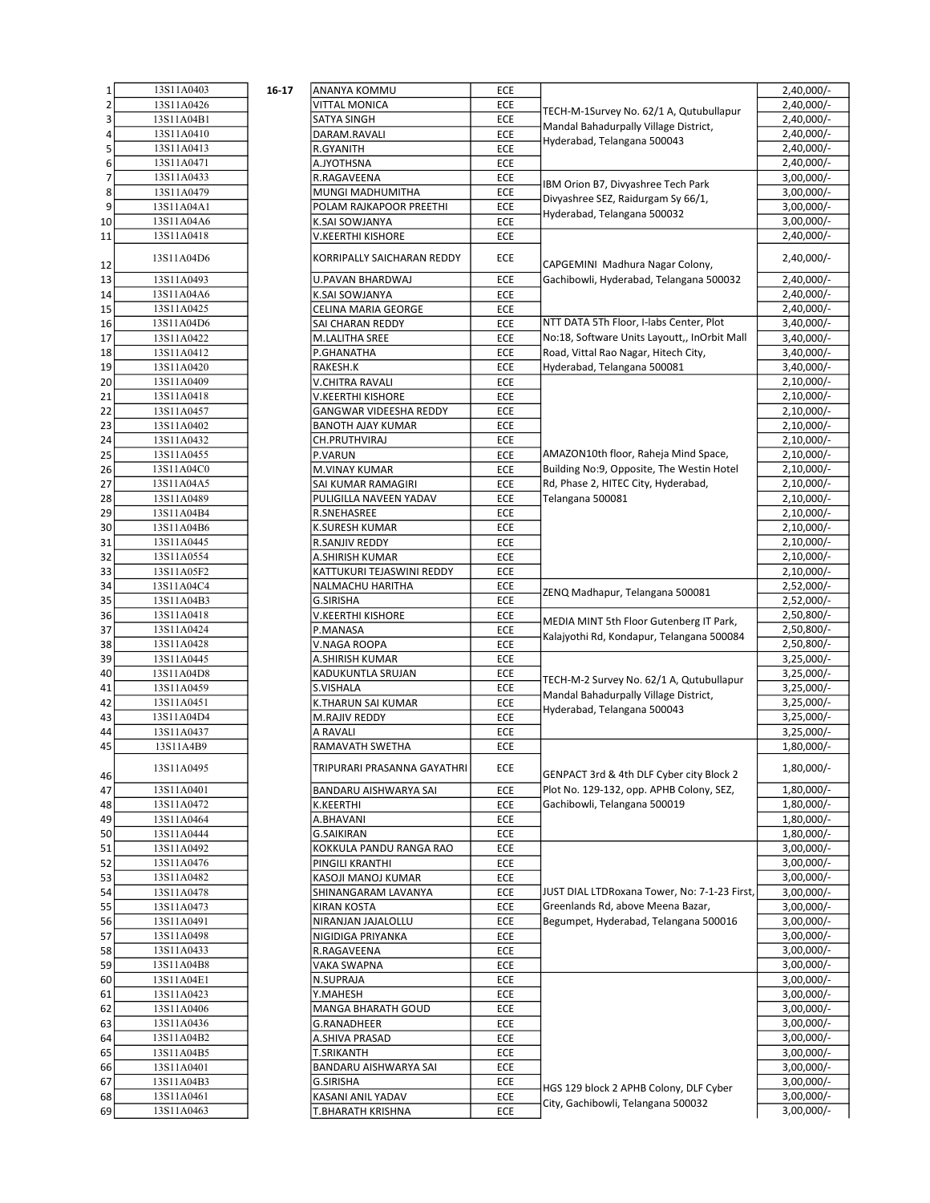| $\mathbf 1$    | 13S11A0403 | 16-17 | ANANYA KOMMU                                | <b>ECE</b> |                                              | 2,40,000/-                   |
|----------------|------------|-------|---------------------------------------------|------------|----------------------------------------------|------------------------------|
| $\overline{2}$ | 13S11A0426 |       | VITTAL MONICA                               | ECE        | TECH-M-1Survey No. 62/1 A, Qutubullapur      | $2,40,000/-$                 |
| 3              | 13S11A04B1 |       | SATYA SINGH                                 | ECE        | Mandal Bahadurpally Village District,        | 2,40,000/-                   |
| 4              | 13S11A0410 |       | DARAM.RAVALI                                | ECE        |                                              | $2,40,000/-$                 |
| 5              | 13S11A0413 |       | R.GYANITH                                   | ECE        | Hyderabad, Telangana 500043                  | 2,40,000/-                   |
| 6              | 13S11A0471 |       | A.JYOTHSNA                                  | ECE        |                                              | 2,40,000/-                   |
| $\overline{7}$ | 13S11A0433 |       | R.RAGAVEENA                                 | ECE        |                                              | $3,00,000/-$                 |
| 8              | 13S11A0479 |       | MUNGI MADHUMITHA                            | ECE        | IBM Orion B7, Divyashree Tech Park           | $3,00,000/-$                 |
| 9              | 13S11A04A1 |       | POLAM RAJKAPOOR PREETHI                     | ECE        | Divyashree SEZ, Raidurgam Sy 66/1,           | $3,00,000/-$                 |
| 10             | 13S11A04A6 |       | K.SAI SOWJANYA                              | ECE        | Hyderabad, Telangana 500032                  | $3,00,000/-$                 |
| 11             | 13S11A0418 |       | V.KEERTHI KISHORE                           | ECE        |                                              | 2,40,000/-                   |
|                |            |       |                                             |            |                                              |                              |
| 12             | 13S11A04D6 |       | KORRIPALLY SAICHARAN REDDY                  | <b>ECE</b> | CAPGEMINI Madhura Nagar Colony,              | $2,40,000/-$                 |
| 13             | 13S11A0493 |       | U.PAVAN BHARDWAJ                            | ECE        | Gachibowli, Hyderabad, Telangana 500032      | 2,40,000/-                   |
| 14             | 13S11A04A6 |       | K.SAI SOWJANYA                              | <b>ECE</b> |                                              | 2,40,000/-                   |
| 15             | 13S11A0425 |       | CELINA MARIA GEORGE                         | ECE        |                                              | $2,40,000/-$                 |
| 16             | 13S11A04D6 |       | SAI CHARAN REDDY                            | ECE        | NTT DATA 5Th Floor, I-labs Center, Plot      | $3,40,000/-$                 |
| 17             | 13S11A0422 |       | M.LALITHA SREE                              | ECE        | No:18, Software Units Layoutt,, InOrbit Mall | $3,40,000/-$                 |
| 18             | 13S11A0412 |       | P.GHANATHA                                  | ECE        | Road, Vittal Rao Nagar, Hitech City,         | $3,40,000/-$                 |
| 19             | 13S11A0420 |       | RAKESH.K                                    | ECE        | Hyderabad, Telangana 500081                  | $3,40,000/-$                 |
| 20             | 13S11A0409 |       | <b>V.CHITRA RAVALI</b>                      | ECE        |                                              | $2,10,000/-$                 |
|                | 13S11A0418 |       |                                             |            |                                              |                              |
| 21             | 13S11A0457 |       | V.KEERTHI KISHORE<br>GANGWAR VIDEESHA REDDY | ECE        |                                              | $2,10,000/-$<br>$2,10,000/-$ |
| 22             |            |       |                                             | ECE        |                                              |                              |
| 23             | 13S11A0402 |       | <b>BANOTH AJAY KUMAR</b>                    | ECE        |                                              | $2,10,000/-$                 |
| 24             | 13S11A0432 |       | CH.PRUTHVIRAJ                               | <b>ECE</b> | AMAZON10th floor, Raheja Mind Space,         | $2,10,000/-$                 |
| 25             | 13S11A0455 |       | P.VARUN                                     | ECE        |                                              | $2,10,000/-$                 |
| 26             | 13S11A04C0 |       | M.VINAY KUMAR                               | ECE        | Building No:9, Opposite, The Westin Hotel    | $2,10,000/-$                 |
| 27             | 13S11A04A5 |       | SAI KUMAR RAMAGIRI                          | ECE        | Rd, Phase 2, HITEC City, Hyderabad,          | $2,10,000/-$                 |
| 28             | 13S11A0489 |       | PULIGILLA NAVEEN YADAV                      | ECE        | Telangana 500081                             | $2,10,000/-$                 |
| 29             | 13S11A04B4 |       | R.SNEHASREE                                 | <b>ECE</b> |                                              | $2,10,000/-$                 |
| 30             | 13S11A04B6 |       | <b>K.SURESH KUMAR</b>                       | ECE        |                                              | $2,10,000/-$                 |
| 31             | 13S11A0445 |       | R.SANJIV REDDY                              | ECE        |                                              | $2,10,000/-$                 |
| 32             | 13S11A0554 |       | A.SHIRISH KUMAR                             | ECE        |                                              | $2,10,000/-$                 |
| 33             | 13S11A05F2 |       | KATTUKURI TEJASWINI REDDY                   | ECE        |                                              | $2,10,000/-$                 |
| 34             | 13S11A04C4 |       | NALMACHU HARITHA                            | ECE        | ZENQ Madhapur, Telangana 500081              | $2,52,000/-$                 |
| 35             | 13S11A04B3 |       | <b>G.SIRISHA</b>                            | ECE        |                                              | $2,52,000/-$                 |
| 36             | 13S11A0418 |       | V.KEERTHI KISHORE                           | ECE        | MEDIA MINT 5th Floor Gutenberg IT Park,      | 2,50,800/-                   |
| 37             | 13S11A0424 |       | P.MANASA                                    | ECE        | Kalajyothi Rd, Kondapur, Telangana 500084    | 2,50,800/-                   |
| 38             | 13S11A0428 |       | V.NAGA ROOPA                                | ECE        |                                              | 2,50,800/-                   |
| 39             | 13S11A0445 |       | A.SHIRISH KUMAR                             | <b>ECE</b> |                                              | $3,25,000/-$                 |
| 40             | 13S11A04D8 |       | KADUKUNTLA SRUJAN                           | ECE        | TECH-M-2 Survey No. 62/1 A, Qutubullapur     | $3,25,000/-$                 |
| 41             | 13S11A0459 |       | S.VISHALA                                   | ECE        | Mandal Bahadurpally Village District,        | $3,25,000/-$                 |
| 42             | 13S11A0451 |       | K.THARUN SAI KUMAR                          | ECE        | Hyderabad, Telangana 500043                  | $3,25,000/-$                 |
| 43             | 13S11A04D4 |       | M.RAJIV REDDY                               | ECE        |                                              | $3,25,000/-$                 |
| 44             | 13S11A0437 |       | A RAVALI                                    | ECE        |                                              | $3,25,000/-$                 |
| 45             | 13S11A4B9  |       | RAMAVATH SWETHA                             | ECE        |                                              | 1,80,000/-                   |
|                | 13S11A0495 |       | TRIPURARI PRASANNA GAYATHRI                 | ECE        |                                              | 1,80,000/-                   |
| 46             |            |       |                                             |            | GENPACT 3rd & 4th DLF Cyber city Block 2     |                              |
| 47             | 13S11A0401 |       | BANDARU AISHWARYA SAI                       | ECE        | Plot No. 129-132, opp. APHB Colony, SEZ,     | 1,80,000/-                   |
| 48             | 13S11A0472 |       | K.KEERTHI                                   | ECE        | Gachibowli, Telangana 500019                 | 1,80,000/-                   |
| 49             | 13S11A0464 |       | A.BHAVANI                                   | ECE        |                                              | 1,80,000/-                   |
| 50             | 13S11A0444 |       | <b>G.SAIKIRAN</b>                           | ECE        |                                              | 1,80,000/-                   |
| 51             | 13S11A0492 |       | KOKKULA PANDU RANGA RAO                     | ECE        |                                              | $3,00,000/-$                 |
| 52             | 13S11A0476 |       | PINGILI KRANTHI                             | ECE        |                                              | $3,00,000/-$                 |
| 53             | 13S11A0482 |       | KASOJI MANOJ KUMAR                          | ECE        |                                              | $3,00,000/-$                 |
| 54             | 13S11A0478 |       | SHINANGARAM LAVANYA                         | ECE        | JUST DIAL LTDRoxana Tower, No: 7-1-23 First, | 3,00,000/-                   |
| 55             | 13S11A0473 |       | KIRAN KOSTA                                 | ECE        | Greenlands Rd, above Meena Bazar,            | $3,00,000/-$                 |
| 56             | 13S11A0491 |       | NIRANJAN JAJALOLLU                          | ECE        | Begumpet, Hyderabad, Telangana 500016        | $3,00,000/-$                 |
| 57             | 13S11A0498 |       | NIGIDIGA PRIYANKA                           | ECE        |                                              | $3,00,000/-$                 |
| 58             | 13S11A0433 |       | R.RAGAVEENA                                 | ECE        |                                              | $3,00,000/-$                 |
| 59             | 13S11A04B8 |       | VAKA SWAPNA                                 | ECE        |                                              | $3,00,000/-$                 |
| 60             | 13S11A04E1 |       | N.SUPRAJA                                   | ECE        |                                              | $3,00,000/-$                 |
| 61             | 13S11A0423 |       | Y.MAHESH                                    | ECE        |                                              | $3,00,000/-$                 |
| 62             | 13S11A0406 |       | MANGA BHARATH GOUD                          | ECE        |                                              | $3,00,000/-$                 |
| 63             | 13S11A0436 |       | G.RANADHEER                                 | ECE        |                                              | $3,00,000/-$                 |
| 64             | 13S11A04B2 |       | A.SHIVA PRASAD                              | ECE        |                                              | $3,00,000/-$                 |
| 65             | 13S11A04B5 |       | <b>T.SRIKANTH</b>                           | ECE        |                                              | $3,00,000/-$                 |
| 66             | 13S11A0401 |       | BANDARU AISHWARYA SAI                       | ECE        |                                              | $3,00,000/-$                 |
| 67             | 13S11A04B3 |       | G.SIRISHA                                   | ECE        | HGS 129 block 2 APHB Colony, DLF Cyber       | $3,00,000/-$                 |
| 68             | 13S11A0461 |       | KASANI ANIL YADAV                           | ECE        | City, Gachibowli, Telangana 500032           | $3,00,000/-$                 |
| 69             | 13S11A0463 |       | T.BHARATH KRISHNA                           | ECE        |                                              | 3,00,000/-                   |